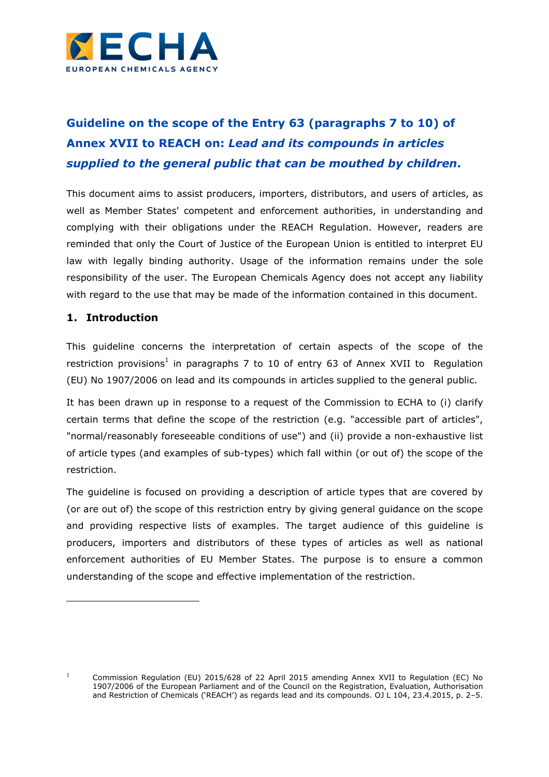

# **Guideline on the scope of the Entry 63 (paragraphs 7 to 10) of Annex XVII to REACH on:** *Lead and its compounds in articles supplied to the general public that can be mouthed by children***.**

This document aims to assist producers, importers, distributors, and users of articles, as well as Member States' competent and enforcement authorities, in understanding and complying with their obligations under the REACH Regulation. However, readers are reminded that only the Court of Justice of the European Union is entitled to interpret EU law with legally binding authority. Usage of the information remains under the sole responsibility of the user. The European Chemicals Agency does not accept any liability with regard to the use that may be made of the information contained in this document.

## **1. Introduction**

i,

This guideline concerns the interpretation of certain aspects of the scope of the restriction provisions<sup>1</sup> in paragraphs 7 to 10 of entry 63 of Annex XVII to Regulation (EU) No 1907/2006 on lead and its compounds in articles supplied to the general public.

It has been drawn up in response to a request of the Commission to ECHA to (i) clarify certain terms that define the scope of the restriction (e.g. "accessible part of articles", "normal/reasonably foreseeable conditions of use") and (ii) provide a non-exhaustive list of article types (and examples of sub-types) which fall within (or out of) the scope of the restriction.

The guideline is focused on providing a description of article types that are covered by (or are out of) the scope of this restriction entry by giving general guidance on the scope and providing respective lists of examples. The target audience of this guideline is producers, importers and distributors of these types of articles as well as national enforcement authorities of EU Member States. The purpose is to ensure a common understanding of the scope and effective implementation of the restriction.

<sup>1</sup> Commission Regulation (EU) 2015/628 of 22 April 2015 amending Annex XVII to Regulation (EC) No 1907/2006 of the European Parliament and of the Council on the Registration, Evaluation, Authorisation and Restriction of Chemicals ('REACH') as regards lead and its compounds. OJ L 104, 23.4.2015, p. 2–5.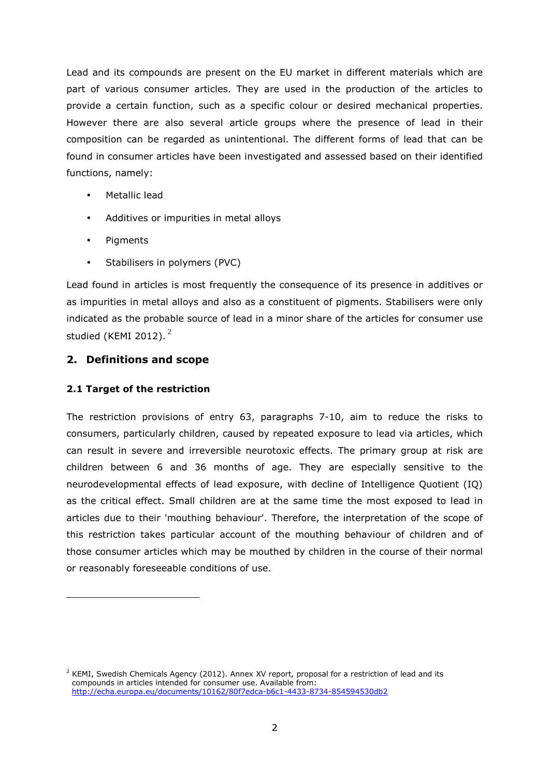Lead and its compounds are present on the EU market in different materials which are part of various consumer articles. They are used in the production of the articles to provide a certain function, such as a specific colour or desired mechanical properties. However there are also several article groups where the presence of lead in their composition can be regarded as unintentional. The different forms of lead that can be found in consumer articles have been investigated and assessed based on their identified functions, namely:

- Metallic lead
- Additives or impurities in metal alloys
- Pigments
- Stabilisers in polymers (PVC)

Lead found in articles is most frequently the consequence of its presence in additives or as impurities in metal alloys and also as a constituent of pigments. Stabilisers were only indicated as the probable source of lead in a minor share of the articles for consumer use studied (KEMI 2012). $2$ 

## **2. Definitions and scope**

## **2.1 Target of the restriction**

l

The restriction provisions of entry 63, paragraphs 7-10, aim to reduce the risks to consumers, particularly children, caused by repeated exposure to lead via articles, which can result in severe and irreversible neurotoxic effects. The primary group at risk are children between 6 and 36 months of age. They are especially sensitive to the neurodevelopmental effects of lead exposure, with decline of Intelligence Quotient (IQ) as the critical effect. Small children are at the same time the most exposed to lead in articles due to their 'mouthing behaviour'. Therefore, the interpretation of the scope of this restriction takes particular account of the mouthing behaviour of children and of those consumer articles which may be mouthed by children in the course of their normal or reasonably foreseeable conditions of use.

 $^2$  KEMI, Swedish Chemicals Agency (2012). Annex XV report, proposal for a restriction of lead and its compounds in articles intended for consumer use. Available from: http://echa.europa.eu/documents/10162/80f7edca-b6c1-4433-8734-854594530db2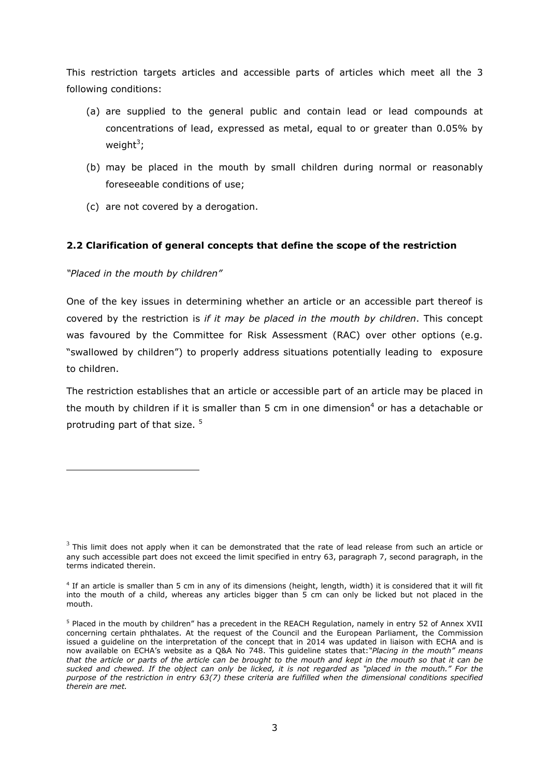This restriction targets articles and accessible parts of articles which meet all the 3 following conditions:

- (a) are supplied to the general public and contain lead or lead compounds at concentrations of lead, expressed as metal, equal to or greater than 0.05% by weight<sup>3</sup>;
- (b) may be placed in the mouth by small children during normal or reasonably foreseeable conditions of use;
- (c) are not covered by a derogation.

## **2.2 Clarification of general concepts that define the scope of the restriction**

*"Placed in the mouth by children"* 

i,

One of the key issues in determining whether an article or an accessible part thereof is covered by the restriction is *if it may be placed in the mouth by children*. This concept was favoured by the Committee for Risk Assessment (RAC) over other options (e.g. "swallowed by children") to properly address situations potentially leading to exposure to children.

The restriction establishes that an article or accessible part of an article may be placed in the mouth by children if it is smaller than 5 cm in one dimension<sup>4</sup> or has a detachable or protruding part of that size. <sup>5</sup>

 $^3$  This limit does not apply when it can be demonstrated that the rate of lead release from such an article or any such accessible part does not exceed the limit specified in entry 63, paragraph 7, second paragraph, in the terms indicated therein.

<sup>4</sup> If an article is smaller than 5 cm in any of its dimensions (height, length, width) it is considered that it will fit into the mouth of a child, whereas any articles bigger than 5 cm can only be licked but not placed in the mouth.

<sup>&</sup>lt;sup>5</sup> Placed in the mouth by children" has a precedent in the REACH Regulation, namely in entry 52 of Annex XVII concerning certain phthalates. At the request of the Council and the European Parliament, the Commission issued a guideline on the interpretation of the concept that in 2014 was updated in liaison with ECHA and is now available on ECHA's website as a Q&A No 748. This guideline states that:*"Placing in the mouth" means that the article or parts of the article can be brought to the mouth and kept in the mouth so that it can be sucked and chewed. If the object can only be licked, it is not regarded as "placed in the mouth." For the purpose of the restriction in entry 63(7) these criteria are fulfilled when the dimensional conditions specified therein are met.*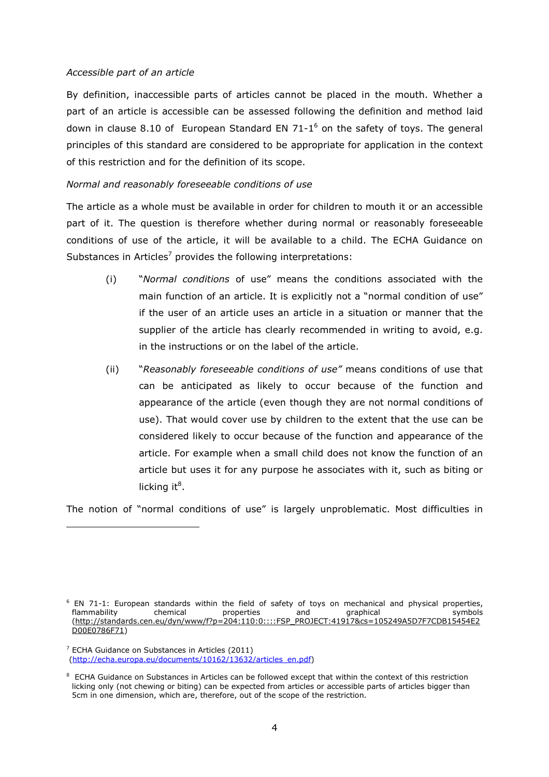#### *Accessible part of an article*

By definition, inaccessible parts of articles cannot be placed in the mouth. Whether a part of an article is accessible can be assessed following the definition and method laid down in clause 8.10 of European Standard EN 71-1 $^6$  on the safety of toys. The general principles of this standard are considered to be appropriate for application in the context of this restriction and for the definition of its scope.

#### *Normal and reasonably foreseeable conditions of use*

The article as a whole must be available in order for children to mouth it or an accessible part of it. The question is therefore whether during normal or reasonably foreseeable conditions of use of the article, it will be available to a child. The ECHA Guidance on Substances in Articles<sup>7</sup> provides the following interpretations:

- (i) "*Normal conditions* of use" means the conditions associated with the main function of an article. It is explicitly not a "normal condition of use" if the user of an article uses an article in a situation or manner that the supplier of the article has clearly recommended in writing to avoid, e.g. in the instructions or on the label of the article.
- (ii) "*Reasonably foreseeable conditions of use"* means conditions of use that can be anticipated as likely to occur because of the function and appearance of the article (even though they are not normal conditions of use). That would cover use by children to the extent that the use can be considered likely to occur because of the function and appearance of the article. For example when a small child does not know the function of an article but uses it for any purpose he associates with it, such as biting or licking it<sup>8</sup>.

The notion of "normal conditions of use" is largely unproblematic. Most difficulties in

i,

<sup>&</sup>lt;sup>6</sup> EN 71-1: European standards within the field of safety of toys on mechanical and physical properties, flammability chemical properties and graphical symbols<br>http://standards.cen.eu/dyn/www/f?p=204:110:0::::FSP PROJECT:41917&cs=105249A5D7F7CDB15454E2 (http://standards.cen.eu/dyn/www/f?p=204:110:0::::FSP D00E0786F71)

 $7$  ECHA Guidance on Substances in Articles (2011) (http://echa.europa.eu/documents/10162/13632/articles\_en.pdf)

 $8$  ECHA Guidance on Substances in Articles can be followed except that within the context of this restriction licking only (not chewing or biting) can be expected from articles or accessible parts of articles bigger than 5cm in one dimension, which are, therefore, out of the scope of the restriction.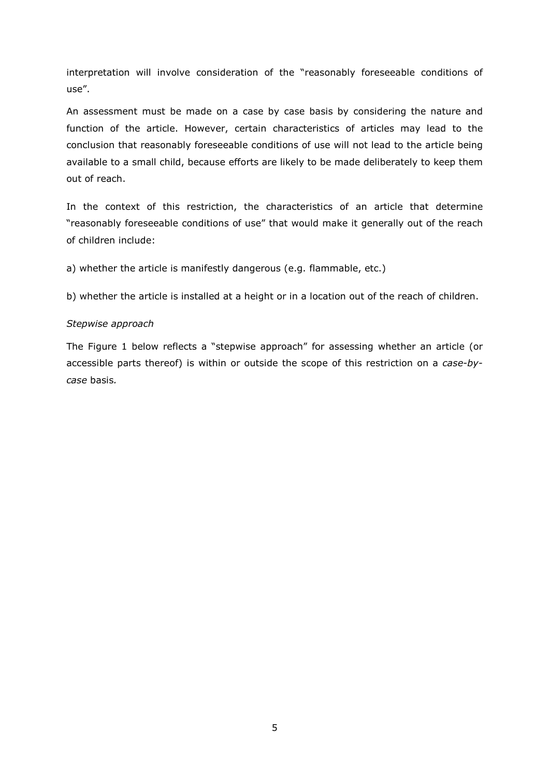interpretation will involve consideration of the "reasonably foreseeable conditions of use".

An assessment must be made on a case by case basis by considering the nature and function of the article. However, certain characteristics of articles may lead to the conclusion that reasonably foreseeable conditions of use will not lead to the article being available to a small child, because efforts are likely to be made deliberately to keep them out of reach.

In the context of this restriction, the characteristics of an article that determine "reasonably foreseeable conditions of use" that would make it generally out of the reach of children include:

a) whether the article is manifestly dangerous (e.g. flammable, etc.)

b) whether the article is installed at a height or in a location out of the reach of children.

#### *Stepwise approach*

The Figure 1 below reflects a "stepwise approach" for assessing whether an article (or accessible parts thereof) is within or outside the scope of this restriction on a *case-bycase* basis*.*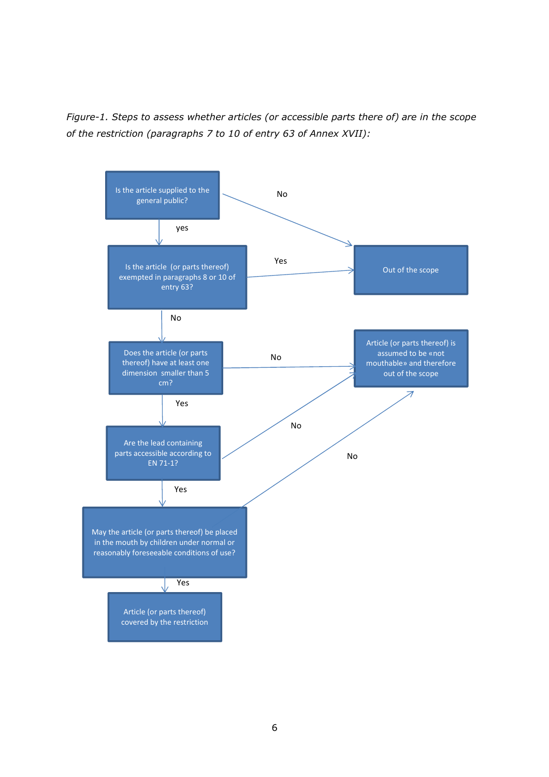*Figure-1. Steps to assess whether articles (or accessible parts there of) are in the scope of the restriction (paragraphs 7 to 10 of entry 63 of Annex XVII):* 

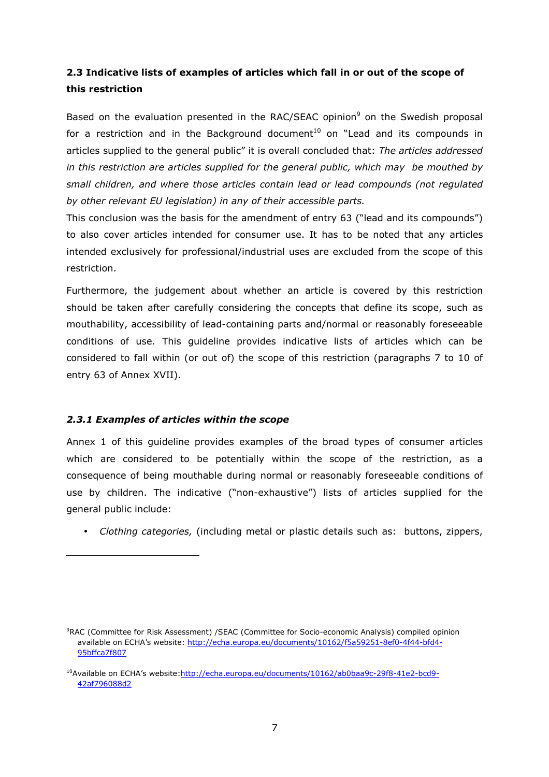## **2.3 Indicative lists of examples of articles which fall in or out of the scope of this restriction**

Based on the evaluation presented in the RAC/SEAC opinion<sup>9</sup> on the Swedish proposal for a restriction and in the Background document<sup>10</sup> on "Lead and its compounds in articles supplied to the general public" it is overall concluded that: *The articles addressed in this restriction are articles supplied for the general public, which may be mouthed by small children, and where those articles contain lead or lead compounds (not regulated by other relevant EU legislation) in any of their accessible parts.*

This conclusion was the basis for the amendment of entry 63 ("lead and its compounds") to also cover articles intended for consumer use. It has to be noted that any articles intended exclusively for professional/industrial uses are excluded from the scope of this restriction.

Furthermore, the judgement about whether an article is covered by this restriction should be taken after carefully considering the concepts that define its scope, such as mouthability, accessibility of lead-containing parts and/normal or reasonably foreseeable conditions of use. This guideline provides indicative lists of articles which can be considered to fall within (or out of) the scope of this restriction (paragraphs 7 to 10 of entry 63 of Annex XVII).

## *2.3.1 Examples of articles within the scope*

i,

Annex 1 of this guideline provides examples of the broad types of consumer articles which are considered to be potentially within the scope of the restriction, as a consequence of being mouthable during normal or reasonably foreseeable conditions of use by children. The indicative ("non-exhaustive") lists of articles supplied for the general public include:

• *Clothing categories,* (including metal or plastic details such as: buttons, zippers,

<sup>9</sup>RAC (Committee for Risk Assessment) /SEAC (Committee for Socio-economic Analysis) compiled opinion available on ECHA's website: http://echa.europa.eu/documents/10162/f5a59251-8ef0-4f44-bfd4- 95bffca7f807

<sup>&</sup>lt;sup>10</sup>Available on ECHA's website:http://echa.europa.eu/documents/10162/ab0baa9c-29f8-41e2-bcd9-42af796088d2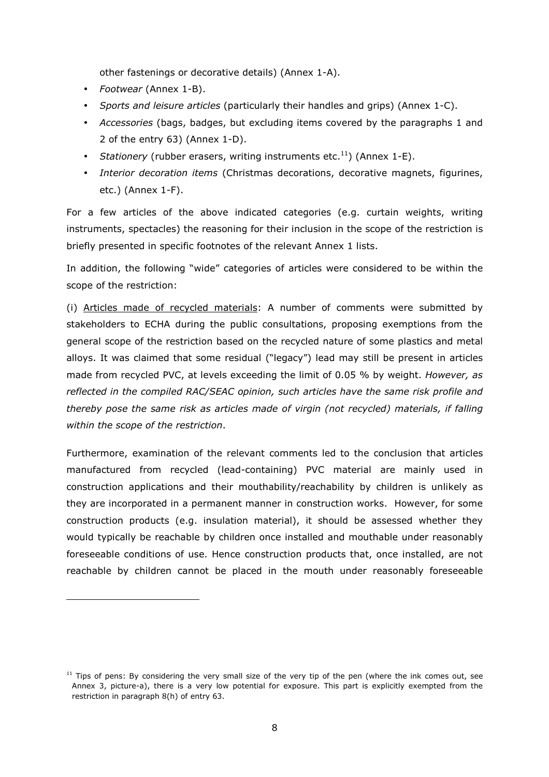other fastenings or decorative details) (Annex 1-A).

• *Footwear* (Annex 1-B).

l

- *Sports and leisure articles* (particularly their handles and grips) (Annex 1-C).
- *Accessories* (bags, badges, but excluding items covered by the paragraphs 1 and 2 of the entry 63) (Annex 1-D).
- *Stationery* (rubber erasers, writing instruments etc.<sup>11</sup>) (Annex 1-E).
- *Interior decoration items* (Christmas decorations, decorative magnets, figurines, etc.) (Annex 1-F).

For a few articles of the above indicated categories (e.g. curtain weights, writing instruments, spectacles) the reasoning for their inclusion in the scope of the restriction is briefly presented in specific footnotes of the relevant Annex 1 lists.

In addition, the following "wide" categories of articles were considered to be within the scope of the restriction:

(i) Articles made of recycled materials: A number of comments were submitted by stakeholders to ECHA during the public consultations, proposing exemptions from the general scope of the restriction based on the recycled nature of some plastics and metal alloys. It was claimed that some residual ("legacy") lead may still be present in articles made from recycled PVC, at levels exceeding the limit of 0.05 % by weight. *However, as reflected in the compiled RAC/SEAC opinion, such articles have the same risk profile and thereby pose the same risk as articles made of virgin (not recycled) materials, if falling within the scope of the restriction*.

Furthermore, examination of the relevant comments led to the conclusion that articles manufactured from recycled (lead-containing) PVC material are mainly used in construction applications and their mouthability/reachability by children is unlikely as they are incorporated in a permanent manner in construction works. However, for some construction products (e.g. insulation material), it should be assessed whether they would typically be reachable by children once installed and mouthable under reasonably foreseeable conditions of use. Hence construction products that, once installed, are not reachable by children cannot be placed in the mouth under reasonably foreseeable

 $11$  Tips of pens: By considering the very small size of the very tip of the pen (where the ink comes out, see Annex 3, picture-a), there is a very low potential for exposure. This part is explicitly exempted from the restriction in paragraph 8(h) of entry 63.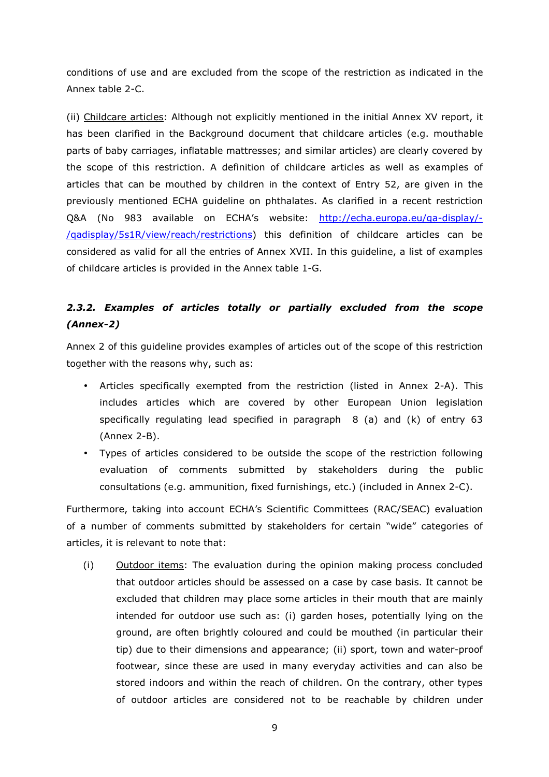conditions of use and are excluded from the scope of the restriction as indicated in the Annex table 2-C.

(ii) Childcare articles: Although not explicitly mentioned in the initial Annex XV report, it has been clarified in the Background document that childcare articles (e.g. mouthable parts of baby carriages, inflatable mattresses; and similar articles) are clearly covered by the scope of this restriction. A definition of childcare articles as well as examples of articles that can be mouthed by children in the context of Entry 52, are given in the previously mentioned ECHA guideline on phthalates. As clarified in a recent restriction Q&A (No 983 available on ECHA's website: http://echa.europa.eu/qa-display/- /qadisplay/5s1R/view/reach/restrictions) this definition of childcare articles can be considered as valid for all the entries of Annex XVII. In this guideline, a list of examples of childcare articles is provided in the Annex table 1-G.

## *2.3.2. Examples of articles totally or partially excluded from the scope (Annex-2)*

Annex 2 of this guideline provides examples of articles out of the scope of this restriction together with the reasons why, such as:

- Articles specifically exempted from the restriction (listed in Annex 2-A). This includes articles which are covered by other European Union legislation specifically regulating lead specified in paragraph 8 (a) and (k) of entry 63 (Annex 2-B).
- Types of articles considered to be outside the scope of the restriction following evaluation of comments submitted by stakeholders during the public consultations (e.g. ammunition, fixed furnishings, etc.) (included in Annex 2-C).

Furthermore, taking into account ECHA's Scientific Committees (RAC/SEAC) evaluation of a number of comments submitted by stakeholders for certain "wide" categories of articles, it is relevant to note that:

(i) Outdoor items: The evaluation during the opinion making process concluded that outdoor articles should be assessed on a case by case basis. It cannot be excluded that children may place some articles in their mouth that are mainly intended for outdoor use such as: (i) garden hoses, potentially lying on the ground, are often brightly coloured and could be mouthed (in particular their tip) due to their dimensions and appearance; (ii) sport, town and water-proof footwear, since these are used in many everyday activities and can also be stored indoors and within the reach of children. On the contrary, other types of outdoor articles are considered not to be reachable by children under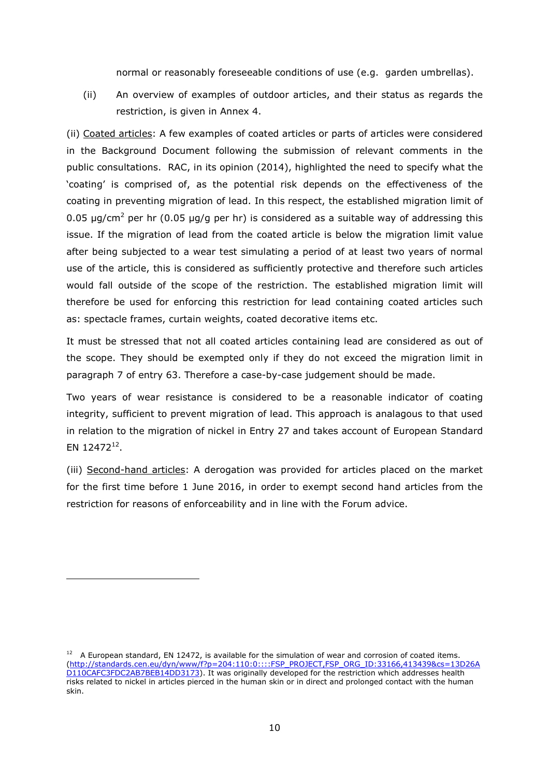normal or reasonably foreseeable conditions of use (e.g. garden umbrellas).

(ii) An overview of examples of outdoor articles, and their status as regards the restriction, is given in Annex 4.

(ii) Coated articles: A few examples of coated articles or parts of articles were considered in the Background Document following the submission of relevant comments in the public consultations. RAC, in its opinion (2014), highlighted the need to specify what the 'coating' is comprised of, as the potential risk depends on the effectiveness of the coating in preventing migration of lead. In this respect, the established migration limit of 0.05 µg/cm<sup>2</sup> per hr (0.05 µg/g per hr) is considered as a suitable way of addressing this issue. If the migration of lead from the coated article is below the migration limit value after being subjected to a wear test simulating a period of at least two years of normal use of the article, this is considered as sufficiently protective and therefore such articles would fall outside of the scope of the restriction. The established migration limit will therefore be used for enforcing this restriction for lead containing coated articles such as: spectacle frames, curtain weights, coated decorative items etc.

It must be stressed that not all coated articles containing lead are considered as out of the scope. They should be exempted only if they do not exceed the migration limit in paragraph 7 of entry 63. Therefore a case-by-case judgement should be made.

Two years of wear resistance is considered to be a reasonable indicator of coating integrity, sufficient to prevent migration of lead. This approach is analagous to that used in relation to the migration of nickel in Entry 27 and takes account of European Standard EN 12472 $^{12}$ .

(iii) Second-hand articles: A derogation was provided for articles placed on the market for the first time before 1 June 2016, in order to exempt second hand articles from the restriction for reasons of enforceability and in line with the Forum advice.

l

 $12$  A European standard, EN 12472, is available for the simulation of wear and corrosion of coated items. (http://standards.cen.eu/dyn/www/f?p=204:110:0::::FSP\_PROJECT,FSP\_ORG\_ID:33166,413439&cs=13D26A D110CAFC3FDC2AB7BEB14DD3173). It was originally developed for the restriction which addresses health risks related to nickel in articles pierced in the human skin or in direct and prolonged contact with the human skin.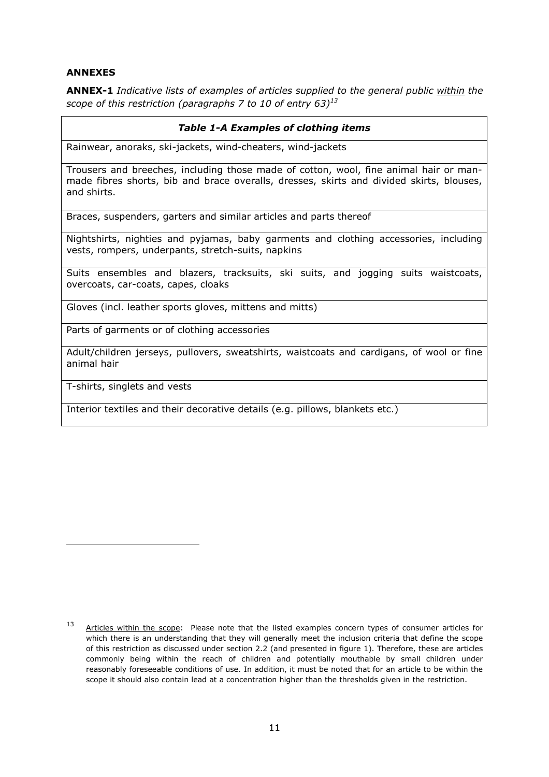#### **ANNEXES**

**ANNEX-1** *Indicative lists of examples of articles supplied to the general public within the scope of this restriction (paragraphs 7 to 10 of entry 63)<sup>13</sup>*

#### *Table 1-A Examples of clothing items*

Rainwear, anoraks, ski-jackets, wind-cheaters, wind-jackets

Trousers and breeches, including those made of cotton, wool, fine animal hair or manmade fibres shorts, bib and brace overalls, dresses, skirts and divided skirts, blouses, and shirts.

Braces, suspenders, garters and similar articles and parts thereof

Nightshirts, nighties and pyjamas, baby garments and clothing accessories, including vests, rompers, underpants, stretch-suits, napkins

Suits ensembles and blazers, tracksuits, ski suits, and jogging suits waistcoats, overcoats, car-coats, capes, cloaks

Gloves (incl. leather sports gloves, mittens and mitts)

Parts of garments or of clothing accessories

Adult/children jerseys, pullovers, sweatshirts, waistcoats and cardigans, of wool or fine animal hair

T-shirts, singlets and vests

l

Interior textiles and their decorative details (e.g. pillows, blankets etc.)

<sup>13</sup> Articles within the scope: Please note that the listed examples concern types of consumer articles for which there is an understanding that they will generally meet the inclusion criteria that define the scope of this restriction as discussed under section 2.2 (and presented in figure 1). Therefore, these are articles commonly being within the reach of children and potentially mouthable by small children under reasonably foreseeable conditions of use. In addition, it must be noted that for an article to be within the scope it should also contain lead at a concentration higher than the thresholds given in the restriction.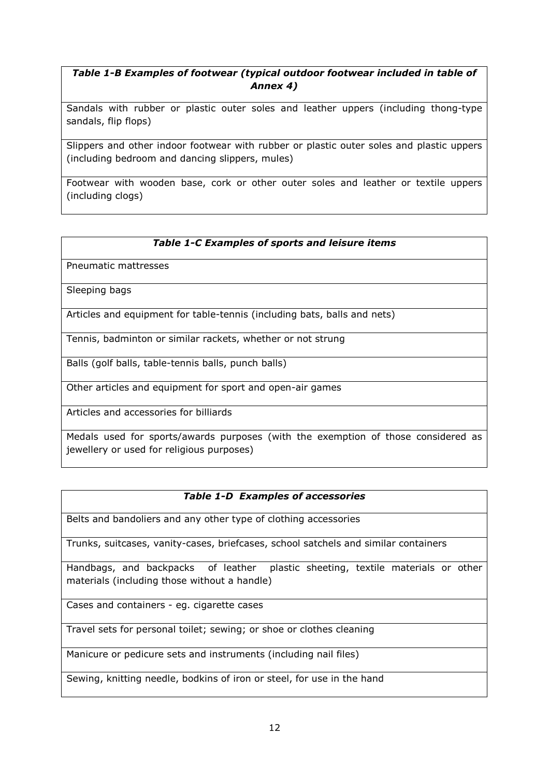## *Table 1-B Examples of footwear (typical outdoor footwear included in table of Annex 4)*

Sandals with rubber or plastic outer soles and leather uppers (including thong-type sandals, flip flops)

Slippers and other indoor footwear with rubber or plastic outer soles and plastic uppers (including bedroom and dancing slippers, mules)

Footwear with wooden base, cork or other outer soles and leather or textile uppers (including clogs)

## *Table 1-C Examples of sports and leisure items*

Pneumatic mattresses

Sleeping bags

Articles and equipment for table-tennis (including bats, balls and nets)

Tennis, badminton or similar rackets, whether or not strung

Balls (golf balls, table-tennis balls, punch balls)

Other articles and equipment for sport and open-air games

Articles and accessories for billiards

Medals used for sports/awards purposes (with the exemption of those considered as jewellery or used for religious purposes)

## *Table 1-D Examples of accessories*

Belts and bandoliers and any other type of clothing accessories

Trunks, suitcases, vanity-cases, briefcases, school satchels and similar containers

Handbags, and backpacks of leather plastic sheeting, textile materials or other materials (including those without a handle)

Cases and containers - eg. cigarette cases

Travel sets for personal toilet; sewing; or shoe or clothes cleaning

Manicure or pedicure sets and instruments (including nail files)

Sewing, knitting needle, bodkins of iron or steel, for use in the hand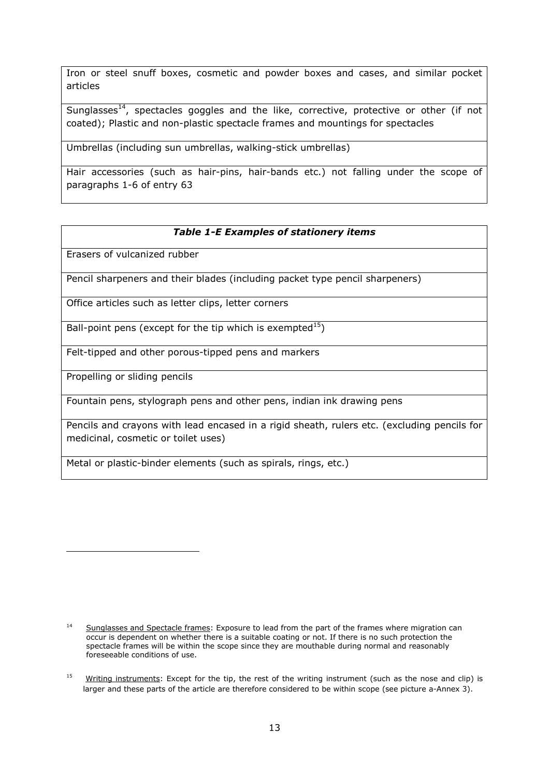Iron or steel snuff boxes, cosmetic and powder boxes and cases, and similar pocket articles

Sunglasses $^{14}$ , spectacles goggles and the like, corrective, protective or other (if not coated); Plastic and non-plastic spectacle frames and mountings for spectacles

Umbrellas (including sun umbrellas, walking-stick umbrellas)

Hair accessories (such as hair-pins, hair-bands etc.) not falling under the scope of paragraphs 1-6 of entry 63

## *Table 1-E Examples of stationery items*

Erasers of vulcanized rubber

Pencil sharpeners and their blades (including packet type pencil sharpeners)

Office articles such as letter clips, letter corners

Ball-point pens (except for the tip which is exempted<sup>15</sup>)

Felt-tipped and other porous-tipped pens and markers

Propelling or sliding pencils

-

Fountain pens, stylograph pens and other pens, indian ink drawing pens

Pencils and crayons with lead encased in a rigid sheath, rulers etc. (excluding pencils for medicinal, cosmetic or toilet uses)

Metal or plastic-binder elements (such as spirals, rings, etc.)

<sup>&</sup>lt;sup>14</sup> Sunglasses and Spectacle frames: Exposure to lead from the part of the frames where migration can occur is dependent on whether there is a suitable coating or not. If there is no such protection the spectacle frames will be within the scope since they are mouthable during normal and reasonably foreseeable conditions of use.

<sup>&</sup>lt;sup>15</sup> Writing instruments: Except for the tip, the rest of the writing instrument (such as the nose and clip) is larger and these parts of the article are therefore considered to be within scope (see picture a-Annex 3).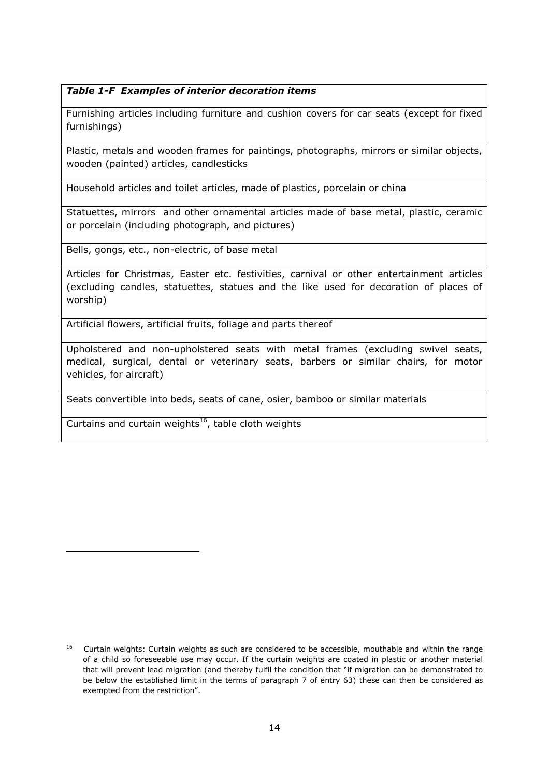## *Table 1-F Examples of interior decoration items*

Furnishing articles including furniture and cushion covers for car seats (except for fixed furnishings)

Plastic, metals and wooden frames for paintings, photographs, mirrors or similar objects, wooden (painted) articles, candlesticks

Household articles and toilet articles, made of plastics, porcelain or china

Statuettes, mirrors and other ornamental articles made of base metal, plastic, ceramic or porcelain (including photograph, and pictures)

Bells, gongs, etc., non-electric, of base metal

Articles for Christmas, Easter etc. festivities, carnival or other entertainment articles (excluding candles, statuettes, statues and the like used for decoration of places of worship)

Artificial flowers, artificial fruits, foliage and parts thereof

Upholstered and non-upholstered seats with metal frames (excluding swivel seats, medical, surgical, dental or veterinary seats, barbers or similar chairs, for motor vehicles, for aircraft)

Seats convertible into beds, seats of cane, osier, bamboo or similar materials

Curtains and curtain weights<sup>16</sup>, table cloth weights

l

<sup>&</sup>lt;sup>16</sup> Curtain weights: Curtain weights as such are considered to be accessible, mouthable and within the range of a child so foreseeable use may occur. If the curtain weights are coated in plastic or another material that will prevent lead migration (and thereby fulfil the condition that "if migration can be demonstrated to be below the established limit in the terms of paragraph 7 of entry 63) these can then be considered as exempted from the restriction".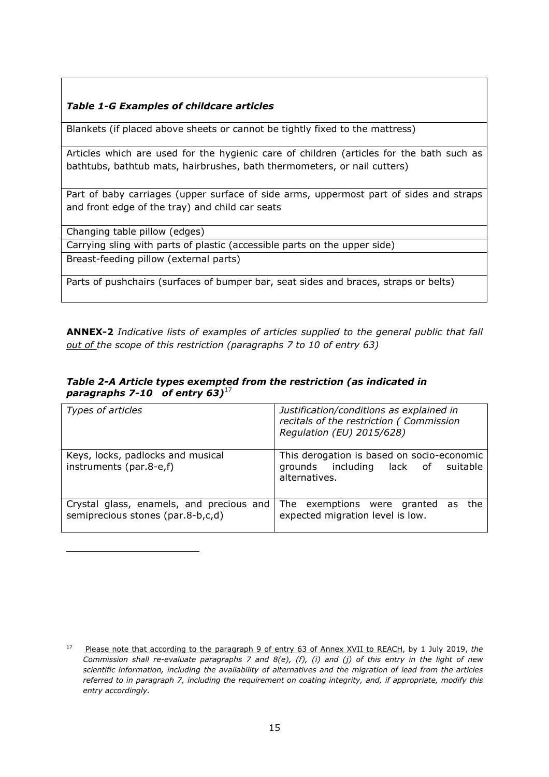## *Table 1-G Examples of childcare articles*

Blankets (if placed above sheets or cannot be tightly fixed to the mattress)

Articles which are used for the hygienic care of children (articles for the bath such as bathtubs, bathtub mats, hairbrushes, bath thermometers, or nail cutters)

Part of baby carriages (upper surface of side arms, uppermost part of sides and straps and front edge of the tray) and child car seats

Changing table pillow (edges)

l

Carrying sling with parts of plastic (accessible parts on the upper side)

Breast-feeding pillow (external parts)

Parts of pushchairs (surfaces of bumper bar, seat sides and braces, straps or belts)

**ANNEX-2** *Indicative lists of examples of articles supplied to the general public that fall out of the scope of this restriction (paragraphs 7 to 10 of entry 63)* 

|                                       | Table 2-A Article types exempted from the restriction (as indicated in |  |
|---------------------------------------|------------------------------------------------------------------------|--|
| paragraphs 7-10 of entry 63) $^{1/2}$ |                                                                        |  |

| Types of articles                                                             | Justification/conditions as explained in<br>recitals of the restriction (Commission<br>Regulation (EU) 2015/628) |  |
|-------------------------------------------------------------------------------|------------------------------------------------------------------------------------------------------------------|--|
| Keys, locks, padlocks and musical<br>instruments (par.8-e,f)                  | This derogation is based on socio-economic<br>grounds including lack of suitable<br>alternatives.                |  |
| Crystal glass, enamels, and precious and<br>semiprecious stones (par.8-b,c,d) | The exemptions were granted as<br>the<br>expected migration level is low.                                        |  |

<sup>17</sup> Please note that according to the paragraph 9 of entry 63 of Annex XVII to REACH, by 1 July 2019, *the Commission shall re-evaluate paragraphs 7 and 8(e), (f), (i) and (j) of this entry in the light of new scientific information, including the availability of alternatives and the migration of lead from the articles referred to in paragraph 7, including the requirement on coating integrity, and, if appropriate, modify this entry accordingly.*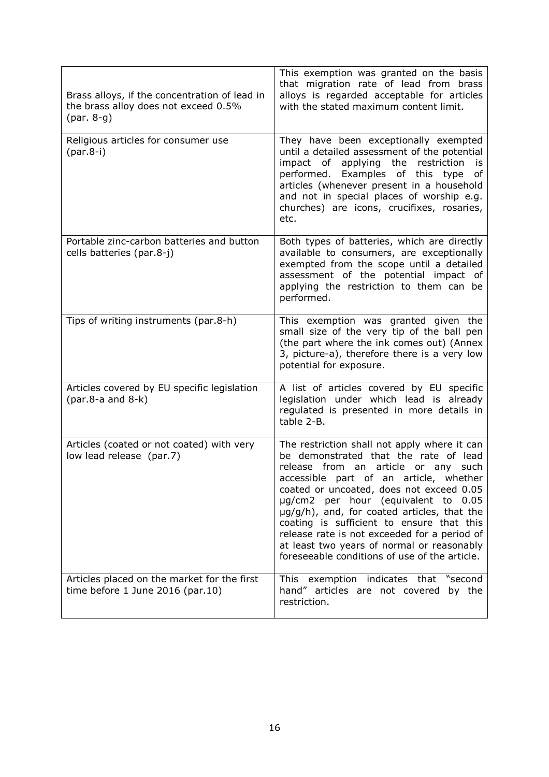| Brass alloys, if the concentration of lead in<br>the brass alloy does not exceed 0.5% | This exemption was granted on the basis<br>that migration rate of lead from brass<br>alloys is regarded acceptable for articles<br>with the stated maximum content limit.                                                                                                                                                                                                                                                                                                                               |
|---------------------------------------------------------------------------------------|---------------------------------------------------------------------------------------------------------------------------------------------------------------------------------------------------------------------------------------------------------------------------------------------------------------------------------------------------------------------------------------------------------------------------------------------------------------------------------------------------------|
| Religious articles for consumer use<br>$(par.8-i)$                                    | They have been exceptionally exempted<br>until a detailed assessment of the potential<br>impact of applying the restriction<br>is<br>performed. Examples of this type<br>оf<br>articles (whenever present in a household<br>and not in special places of worship e.g.<br>churches) are icons, crucifixes, rosaries,<br>etc.                                                                                                                                                                             |
| Portable zinc-carbon batteries and button<br>cells batteries (par.8-j)                | Both types of batteries, which are directly<br>available to consumers, are exceptionally<br>exempted from the scope until a detailed<br>assessment of the potential impact of<br>applying the restriction to them can be<br>performed.                                                                                                                                                                                                                                                                  |
| Tips of writing instruments (par.8-h)                                                 | This exemption was granted given the<br>small size of the very tip of the ball pen<br>(the part where the ink comes out) (Annex<br>3, picture-a), therefore there is a very low<br>potential for exposure.                                                                                                                                                                                                                                                                                              |
| Articles covered by EU specific legislation                                           | A list of articles covered by EU specific<br>legislation under which lead is already<br>regulated is presented in more details in<br>table 2-B.                                                                                                                                                                                                                                                                                                                                                         |
| Articles (coated or not coated) with very<br>low lead release (par.7)                 | The restriction shall not apply where it can<br>be demonstrated that the rate of lead<br>release from an article or any<br>such<br>accessible part of an article, whether<br>coated or uncoated, does not exceed 0.05<br>µg/cm2 per hour (equivalent to 0.05<br>µg/g/h), and, for coated articles, that the<br>coating is sufficient to ensure that this<br>release rate is not exceeded for a period of<br>at least two years of normal or reasonably<br>foreseeable conditions of use of the article. |
| Articles placed on the market for the first<br>time before $1$ June 2016 (par. 10)    | This exemption indicates that "second<br>hand" articles are not covered by the<br>restriction.                                                                                                                                                                                                                                                                                                                                                                                                          |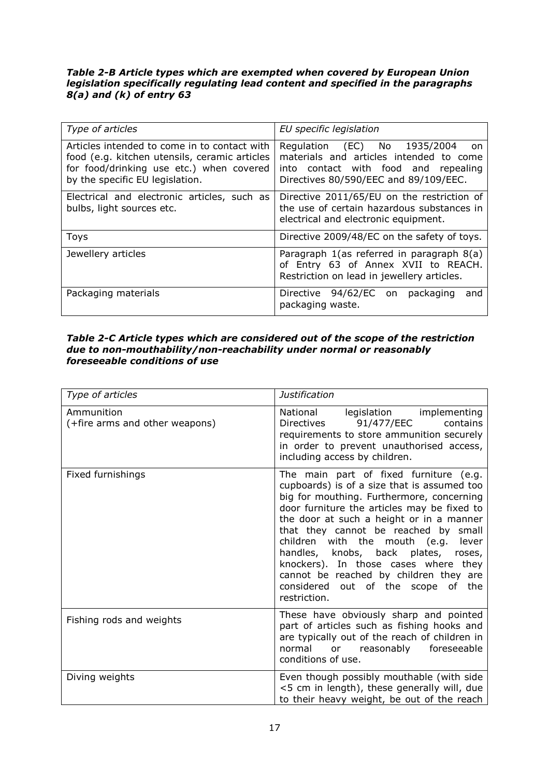#### *Table 2-B Article types which are exempted when covered by European Union legislation specifically regulating lead content and specified in the paragraphs 8(a) and (k) of entry 63*

| Type of articles                                                                                                                                                             | EU specific legislation                                                                                                                                        |  |
|------------------------------------------------------------------------------------------------------------------------------------------------------------------------------|----------------------------------------------------------------------------------------------------------------------------------------------------------------|--|
| Articles intended to come in to contact with<br>food (e.g. kitchen utensils, ceramic articles<br>for food/drinking use etc.) when covered<br>by the specific EU legislation. | Regulation (EC) No 1935/2004<br>on<br>materials and articles intended to come<br>into contact with food and repealing<br>Directives 80/590/EEC and 89/109/EEC. |  |
| Electrical and electronic articles, such as<br>bulbs, light sources etc.                                                                                                     | Directive 2011/65/EU on the restriction of<br>the use of certain hazardous substances in<br>electrical and electronic equipment.                               |  |
| <b>Toys</b>                                                                                                                                                                  | Directive 2009/48/EC on the safety of toys.                                                                                                                    |  |
| Jewellery articles                                                                                                                                                           | Paragraph 1(as referred in paragraph 8(a)<br>of Entry 63 of Annex XVII to REACH.<br>Restriction on lead in jewellery articles.                                 |  |
| Packaging materials                                                                                                                                                          | Directive 94/62/EC on<br>packaging<br>and<br>packaging waste.                                                                                                  |  |

#### *Table 2-C Article types which are considered out of the scope of the restriction due to non-mouthability/non-reachability under normal or reasonably foreseeable conditions of use*

| Type of articles                             | Justification                                                                                                                                                                                                                                                                                                                                                                                                                                                                                     |
|----------------------------------------------|---------------------------------------------------------------------------------------------------------------------------------------------------------------------------------------------------------------------------------------------------------------------------------------------------------------------------------------------------------------------------------------------------------------------------------------------------------------------------------------------------|
| Ammunition<br>(+fire arms and other weapons) | National<br>legislation implementing<br>Directives 91/477/EEC<br>contains<br>requirements to store ammunition securely<br>in order to prevent unauthorised access,<br>including access by children.                                                                                                                                                                                                                                                                                               |
| Fixed furnishings                            | The main part of fixed furniture (e.g.<br>cupboards) is of a size that is assumed too<br>big for mouthing. Furthermore, concerning<br>door furniture the articles may be fixed to<br>the door at such a height or in a manner<br>that they cannot be reached by small<br>with the mouth (e.g.<br>children<br>lever<br>handles, knobs, back plates, roses,<br>knockers). In those cases where they<br>cannot be reached by children they are<br>considered out of the scope of the<br>restriction. |
| Fishing rods and weights                     | These have obviously sharp and pointed<br>part of articles such as fishing hooks and<br>are typically out of the reach of children in<br>normal or reasonably foreseeable<br>conditions of use.                                                                                                                                                                                                                                                                                                   |
| Diving weights                               | Even though possibly mouthable (with side<br><5 cm in length), these generally will, due<br>to their heavy weight, be out of the reach                                                                                                                                                                                                                                                                                                                                                            |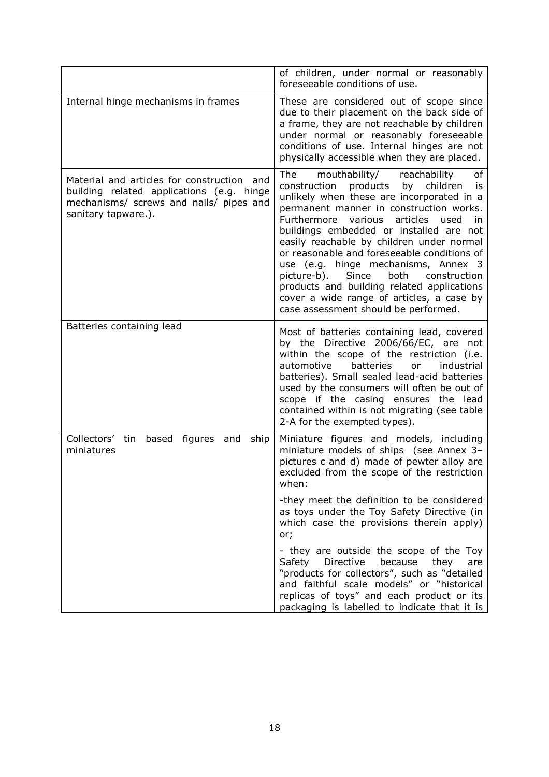|                                                                                                                                                           | of children, under normal or reasonably<br>foreseeable conditions of use.                                                                                                                                                                                                                                                                                                                                                                                                                                                                                                                                   |
|-----------------------------------------------------------------------------------------------------------------------------------------------------------|-------------------------------------------------------------------------------------------------------------------------------------------------------------------------------------------------------------------------------------------------------------------------------------------------------------------------------------------------------------------------------------------------------------------------------------------------------------------------------------------------------------------------------------------------------------------------------------------------------------|
| Internal hinge mechanisms in frames                                                                                                                       | These are considered out of scope since<br>due to their placement on the back side of<br>a frame, they are not reachable by children<br>under normal or reasonably foreseeable<br>conditions of use. Internal hinges are not<br>physically accessible when they are placed.                                                                                                                                                                                                                                                                                                                                 |
| Material and articles for construction and<br>building related applications (e.g. hinge<br>mechanisms/ screws and nails/ pipes and<br>sanitary tapware.). | The<br>mouthability/<br>reachability<br>οf<br>construction<br>products<br>by<br>children<br>İS<br>unlikely when these are incorporated in a<br>permanent manner in construction works.<br>Furthermore<br>various<br>articles<br>used<br>in<br>buildings embedded or installed are not<br>easily reachable by children under normal<br>or reasonable and foreseeable conditions of<br>use (e.g. hinge mechanisms, Annex 3<br>picture-b).<br>both<br>Since<br>construction<br>products and building related applications<br>cover a wide range of articles, a case by<br>case assessment should be performed. |
| Batteries containing lead                                                                                                                                 | Most of batteries containing lead, covered<br>by the Directive 2006/66/EC, are not<br>within the scope of the restriction (i.e.<br>automotive<br>batteries<br>industrial<br>or a<br>batteries). Small sealed lead-acid batteries<br>used by the consumers will often be out of<br>scope if the casing ensures the lead<br>contained within is not migrating (see table<br>2-A for the exempted types).                                                                                                                                                                                                      |
| Collectors'<br>tin<br>based figures<br>and<br>ship<br>miniatures                                                                                          | Miniature figures and models, including<br>miniature models of ships (see Annex 3-<br>pictures c and d) made of pewter alloy are<br>excluded from the scope of the restriction<br>when:                                                                                                                                                                                                                                                                                                                                                                                                                     |
|                                                                                                                                                           | -they meet the definition to be considered<br>as toys under the Toy Safety Directive (in<br>which case the provisions therein apply)<br>or;                                                                                                                                                                                                                                                                                                                                                                                                                                                                 |
|                                                                                                                                                           | - they are outside the scope of the Toy<br>Safety Directive<br>because they<br>are<br>"products for collectors", such as "detailed<br>and faithful scale models" or "historical<br>replicas of toys" and each product or its<br>packaging is labelled to indicate that it is                                                                                                                                                                                                                                                                                                                                |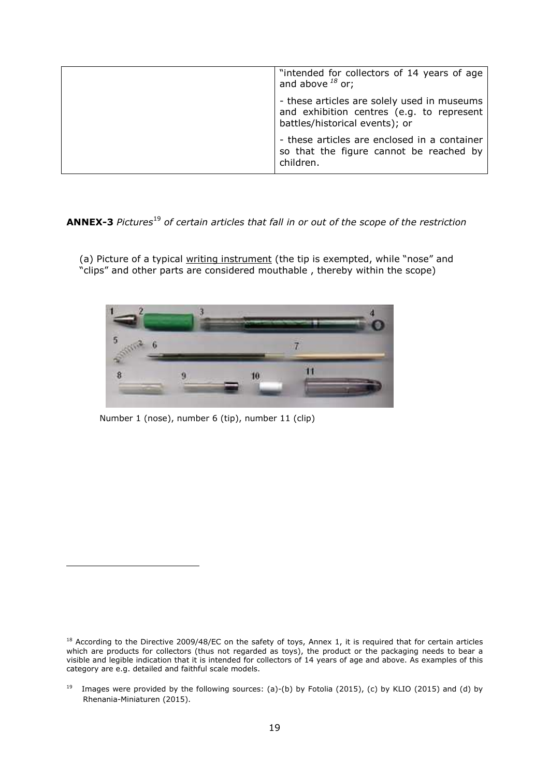| "intended for collectors of 14 years of age<br>and above $^{18}$ or;                                                       |
|----------------------------------------------------------------------------------------------------------------------------|
| - these articles are solely used in museums<br>and exhibition centres (e.g. to represent<br>battles/historical events); or |
| - these articles are enclosed in a container<br>so that the figure cannot be reached by<br>children.                       |

**ANNEX-3** *Pictures*<sup>19</sup> *of certain articles that fall in or out of the scope of the restriction* 

(a) Picture of a typical <u>writing instrument</u> (the tip is exempted, while "nose" and "clips" and other parts are considered mouthable , thereby within the scope)



Number 1 (nose), number 6 (tip), number 11 (clip)

i,

<sup>&</sup>lt;sup>18</sup> According to the Directive 2009/48/EC on the safety of toys, Annex 1, it is required that for certain articles which are products for collectors (thus not regarded as toys), the product or the packaging needs to bear a visible and legible indication that it is intended for collectors of 14 years of age and above. As examples of this category are e.g. detailed and faithful scale models.

<sup>&</sup>lt;sup>19</sup> Images were provided by the following sources: (a)-(b) by Fotolia (2015), (c) by KLIO (2015) and (d) by Rhenania-Miniaturen (2015).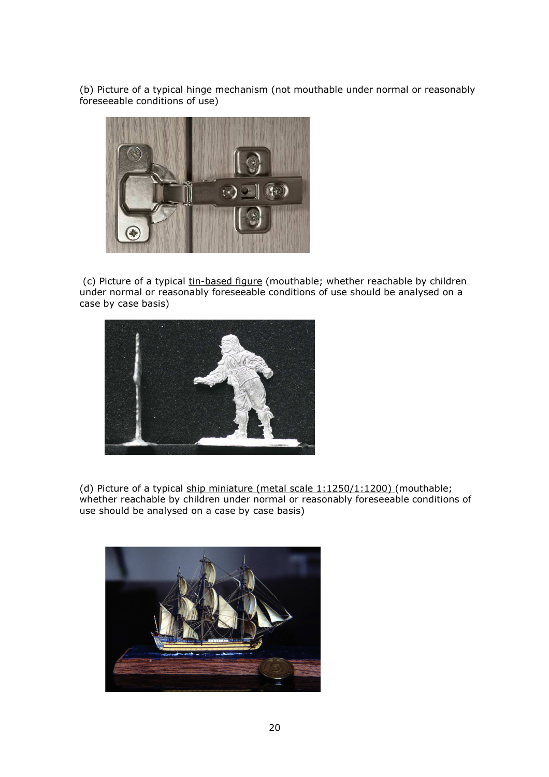(b) Picture of a typical hinge mechanism (not mouthable under normal or reasonably foreseeable conditions of use)



(c) Picture of a typical tin-based figure (mouthable; whether reachable by children under normal or reasonably foreseeable conditions of use should be analysed on a case by case basis)



(d) Picture of a typical ship miniature (metal scale 1:1250/1:1200) (mouthable; whether reachable by children under normal or reasonably foreseeable conditions of use should be analysed on a case by case basis)

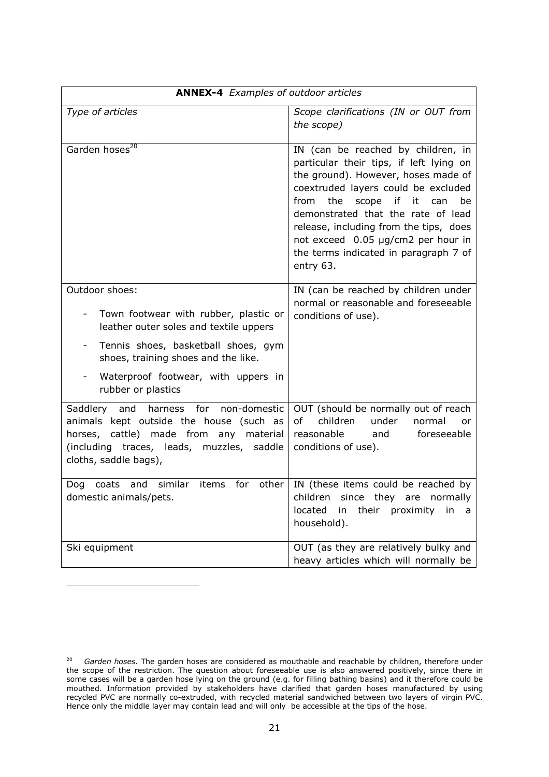| <b>ANNEX-4</b> Examples of outdoor articles                                                                                                                                                            |                                                                                                                                                                                                                                                                                                                                                                                    |  |
|--------------------------------------------------------------------------------------------------------------------------------------------------------------------------------------------------------|------------------------------------------------------------------------------------------------------------------------------------------------------------------------------------------------------------------------------------------------------------------------------------------------------------------------------------------------------------------------------------|--|
| Type of articles                                                                                                                                                                                       | Scope clarifications (IN or OUT from<br>the scope)                                                                                                                                                                                                                                                                                                                                 |  |
| Garden hoses <sup>20</sup>                                                                                                                                                                             | IN (can be reached by children, in<br>particular their tips, if left lying on<br>the ground). However, hoses made of<br>coextruded layers could be excluded<br>from<br>the<br>scope<br>if it can<br>be<br>demonstrated that the rate of lead<br>release, including from the tips, does<br>not exceed 0.05 µg/cm2 per hour in<br>the terms indicated in paragraph 7 of<br>entry 63. |  |
| Outdoor shoes:<br>Town footwear with rubber, plastic or<br>leather outer soles and textile uppers                                                                                                      | IN (can be reached by children under<br>normal or reasonable and foreseeable<br>conditions of use).                                                                                                                                                                                                                                                                                |  |
| Tennis shoes, basketball shoes, gym<br>shoes, training shoes and the like.                                                                                                                             |                                                                                                                                                                                                                                                                                                                                                                                    |  |
| Waterproof footwear, with uppers in<br>rubber or plastics                                                                                                                                              |                                                                                                                                                                                                                                                                                                                                                                                    |  |
| non-domestic<br>Saddlery and harness for<br>animals kept outside the house (such as<br>horses, cattle) made from<br>any material<br>(including traces, leads, muzzles, saddle<br>cloths, saddle bags), | OUT (should be normally out of reach<br><sub>of</sub><br>children<br>under<br>normal<br>or<br>reasonable<br>foreseeable<br>and<br>conditions of use).                                                                                                                                                                                                                              |  |
| and similar<br>for<br>coats<br>items<br>other<br>Dog<br>domestic animals/pets.                                                                                                                         | IN (these items could be reached by<br>children since they are normally<br>their proximity in<br>located<br>in<br>a<br>household).                                                                                                                                                                                                                                                 |  |
| Ski equipment                                                                                                                                                                                          | OUT (as they are relatively bulky and<br>heavy articles which will normally be                                                                                                                                                                                                                                                                                                     |  |

i,

<sup>20</sup> *Garden hoses*. The garden hoses are considered as mouthable and reachable by children, therefore under the scope of the restriction. The question about foreseeable use is also answered positively, since there in some cases will be a garden hose lying on the ground (e.g. for filling bathing basins) and it therefore could be mouthed. Information provided by stakeholders have clarified that garden hoses manufactured by using recycled PVC are normally co-extruded, with recycled material sandwiched between two layers of virgin PVC. Hence only the middle layer may contain lead and will only be accessible at the tips of the hose.